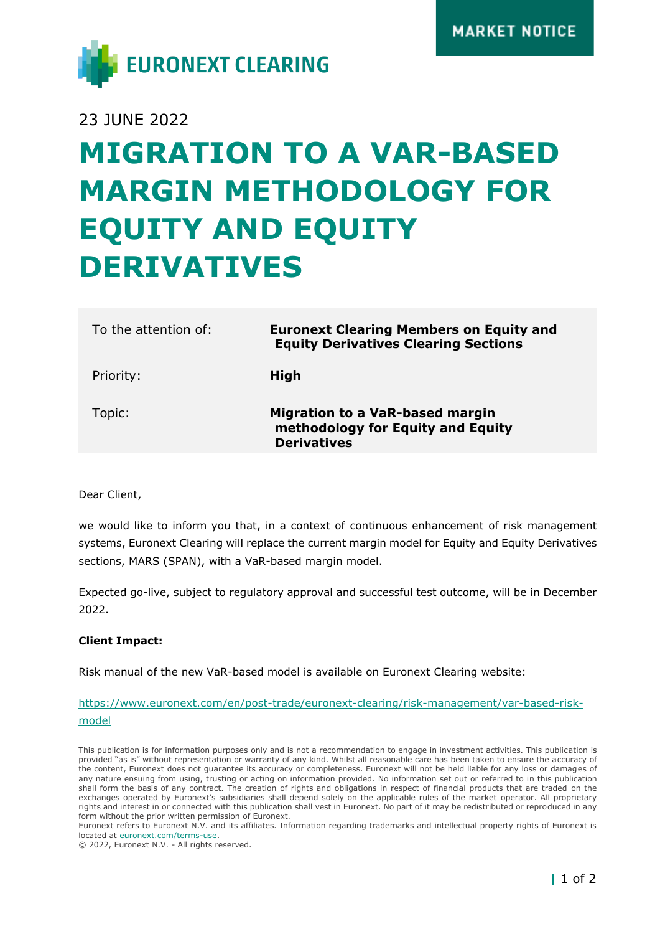

23 JUNE 2022

# **MIGRATION TO A VAR-BASED MARGIN METHODOLOGY FOR EQUITY AND EQUITY DERIVATIVES**

| To the attention of: | <b>Euronext Clearing Members on Equity and</b><br><b>Equity Derivatives Clearing Sections</b>     |
|----------------------|---------------------------------------------------------------------------------------------------|
| Priority:            | High                                                                                              |
| Topic:               | <b>Migration to a VaR-based margin</b><br>methodology for Equity and Equity<br><b>Derivatives</b> |

Dear Client,

we would like to inform you that, in a context of continuous enhancement of risk management systems, Euronext Clearing will replace the current margin model for Equity and Equity Derivatives sections, MARS (SPAN), with a VaR-based margin model.

Expected go-live, subject to regulatory approval and successful test outcome, will be in December 2022.

## **Client Impact:**

Risk manual of the new VaR-based model is available on Euronext Clearing website:

# [https://www.euronext.com/en/post-trade/euronext-clearing/risk-management/var-based-risk](https://www.euronext.com/en/post-trade/euronext-clearing/risk-management/var-based-risk-model)[model](https://www.euronext.com/en/post-trade/euronext-clearing/risk-management/var-based-risk-model)

This publication is for information purposes only and is not a recommendation to engage in investment activities. This publication is provided "as is" without representation or warranty of any kind. Whilst all reasonable care has been taken to ensure the accuracy of the content, Euronext does not guarantee its accuracy or completeness. Euronext will not be held liable for any loss or damages of any nature ensuing from using, trusting or acting on information provided. No information set out or referred to in this publication shall form the basis of any contract. The creation of rights and obligations in respect of financial products that are traded on the exchanges operated by Euronext's subsidiaries shall depend solely on the applicable rules of the market operator. All proprietary rights and interest in or connected with this publication shall vest in Euronext. No part of it may be redistributed or reproduced in any form without the prior written permission of Euronext.

Euronext refers to Euronext N.V. and its affiliates. Information regarding trademarks and intellectual property rights of Euronext is located at [euronext.com/terms-use.](https://www.euronext.com/terms-use)

© 2022, Euronext N.V. - All rights reserved.